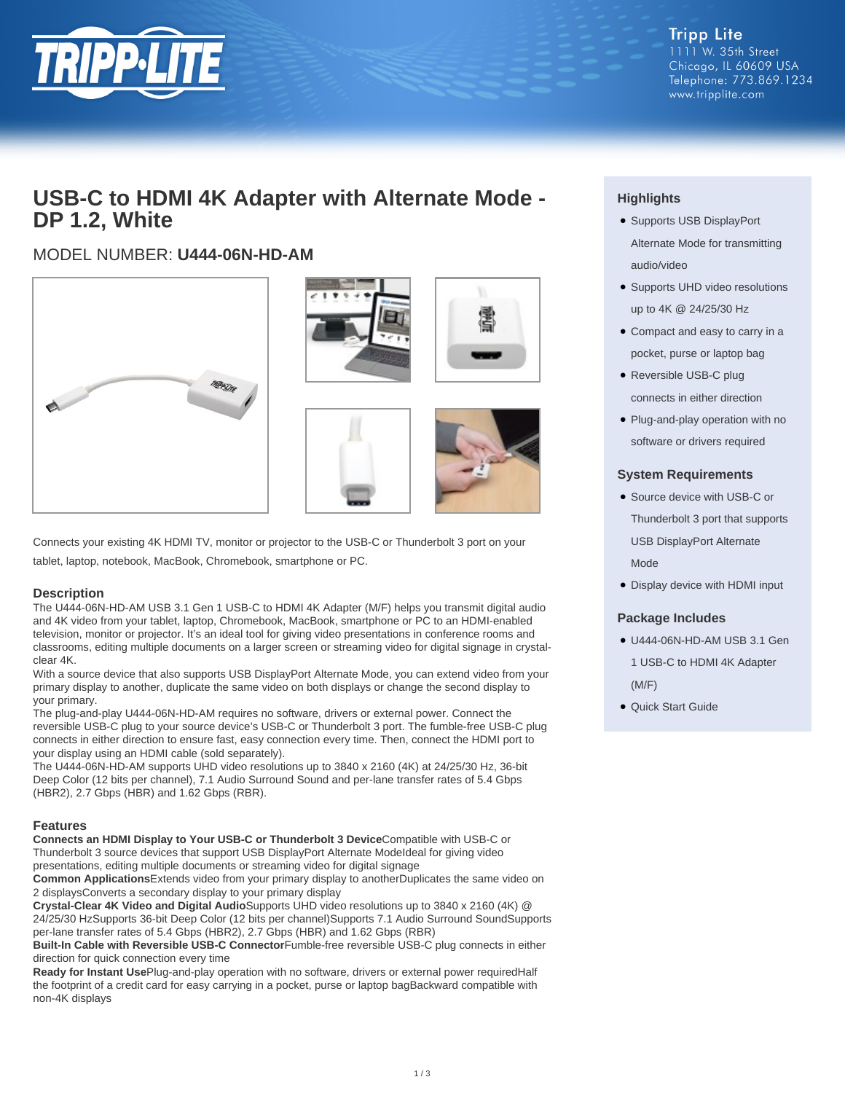

# **USB-C to HDMI 4K Adapter with Alternate Mode - DP 1.2, White**

# MODEL NUMBER: **U444-06N-HD-AM**







Connects your existing 4K HDMI TV, monitor or projector to the USB-C or Thunderbolt 3 port on your tablet, laptop, notebook, MacBook, Chromebook, smartphone or PC.

### **Description**

The U444-06N-HD-AM USB 3.1 Gen 1 USB-C to HDMI 4K Adapter (M/F) helps you transmit digital audio and 4K video from your tablet, laptop, Chromebook, MacBook, smartphone or PC to an HDMI-enabled television, monitor or projector. It's an ideal tool for giving video presentations in conference rooms and classrooms, editing multiple documents on a larger screen or streaming video for digital signage in crystalclear 4K.

With a source device that also supports USB DisplayPort Alternate Mode, you can extend video from your primary display to another, duplicate the same video on both displays or change the second display to your primary.

The plug-and-play U444-06N-HD-AM requires no software, drivers or external power. Connect the reversible USB-C plug to your source device's USB-C or Thunderbolt 3 port. The fumble-free USB-C plug connects in either direction to ensure fast, easy connection every time. Then, connect the HDMI port to your display using an HDMI cable (sold separately).

The U444-06N-HD-AM supports UHD video resolutions up to 3840 x 2160 (4K) at 24/25/30 Hz, 36-bit Deep Color (12 bits per channel), 7.1 Audio Surround Sound and per-lane transfer rates of 5.4 Gbps (HBR2), 2.7 Gbps (HBR) and 1.62 Gbps (RBR).

### **Features**

**Connects an HDMI Display to Your USB-C or Thunderbolt 3 Device**Compatible with USB-C or Thunderbolt 3 source devices that support USB DisplayPort Alternate ModeIdeal for giving video presentations, editing multiple documents or streaming video for digital signage

**Common Applications**Extends video from your primary display to anotherDuplicates the same video on 2 displaysConverts a secondary display to your primary display

**Crystal-Clear 4K Video and Digital Audio**Supports UHD video resolutions up to 3840 x 2160 (4K) @ 24/25/30 HzSupports 36-bit Deep Color (12 bits per channel)Supports 7.1 Audio Surround SoundSupports per-lane transfer rates of 5.4 Gbps (HBR2), 2.7 Gbps (HBR) and 1.62 Gbps (RBR)

**Built-In Cable with Reversible USB-C Connector**Fumble-free reversible USB-C plug connects in either direction for quick connection every time

**Ready for Instant Use**Plug-and-play operation with no software, drivers or external power requiredHalf the footprint of a credit card for easy carrying in a pocket, purse or laptop bagBackward compatible with non-4K displays

# **Highlights**

- Supports USB DisplayPort Alternate Mode for transmitting audio/video
- Supports UHD video resolutions up to 4K @ 24/25/30 Hz
- Compact and easy to carry in a pocket, purse or laptop bag
- Reversible USB-C plug connects in either direction
- Plug-and-play operation with no software or drivers required

## **System Requirements**

- Source device with USB-C or Thunderbolt 3 port that supports USB DisplayPort Alternate Mode
- Display device with HDMI input

### **Package Includes**

- U444-06N-HD-AM USB 3.1 Gen 1 USB-C to HDMI 4K Adapter (M/F)
- Quick Start Guide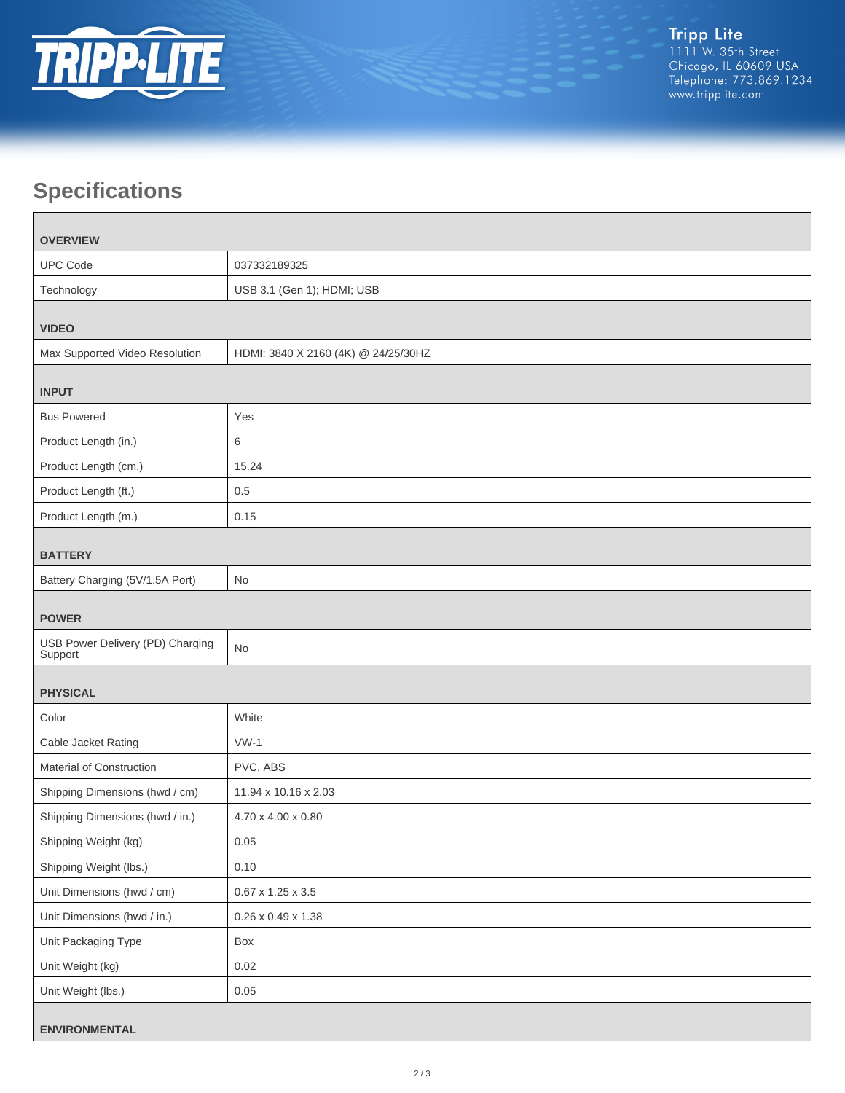

# **Specifications**

| <b>OVERVIEW</b>                             |                                     |  |
|---------------------------------------------|-------------------------------------|--|
| <b>UPC Code</b>                             | 037332189325                        |  |
| Technology                                  | USB 3.1 (Gen 1); HDMI; USB          |  |
| <b>VIDEO</b>                                |                                     |  |
| Max Supported Video Resolution              | HDMI: 3840 X 2160 (4K) @ 24/25/30HZ |  |
| <b>INPUT</b>                                |                                     |  |
| <b>Bus Powered</b>                          | Yes                                 |  |
| Product Length (in.)                        | 6                                   |  |
| Product Length (cm.)                        | 15.24                               |  |
| Product Length (ft.)                        | 0.5                                 |  |
| Product Length (m.)                         | 0.15                                |  |
| <b>BATTERY</b>                              |                                     |  |
| Battery Charging (5V/1.5A Port)             | No                                  |  |
| <b>POWER</b>                                |                                     |  |
| USB Power Delivery (PD) Charging<br>Support | <b>No</b>                           |  |
| <b>PHYSICAL</b>                             |                                     |  |
| Color                                       | White                               |  |
| Cable Jacket Rating                         | $VW-1$                              |  |
| Material of Construction                    | PVC, ABS                            |  |
| Shipping Dimensions (hwd / cm)              | 11.94 x 10.16 x 2.03                |  |
| Shipping Dimensions (hwd / in.)             | 4.70 x 4.00 x 0.80                  |  |
| Shipping Weight (kg)                        | 0.05                                |  |
| Shipping Weight (lbs.)                      | 0.10                                |  |
| Unit Dimensions (hwd / cm)                  | $0.67 \times 1.25 \times 3.5$       |  |
| Unit Dimensions (hwd / in.)                 | $0.26 \times 0.49 \times 1.38$      |  |
| Unit Packaging Type                         | Box                                 |  |
| Unit Weight (kg)                            | 0.02                                |  |
| Unit Weight (lbs.)                          | 0.05                                |  |
| <b>ENVIRONMENTAL</b>                        |                                     |  |